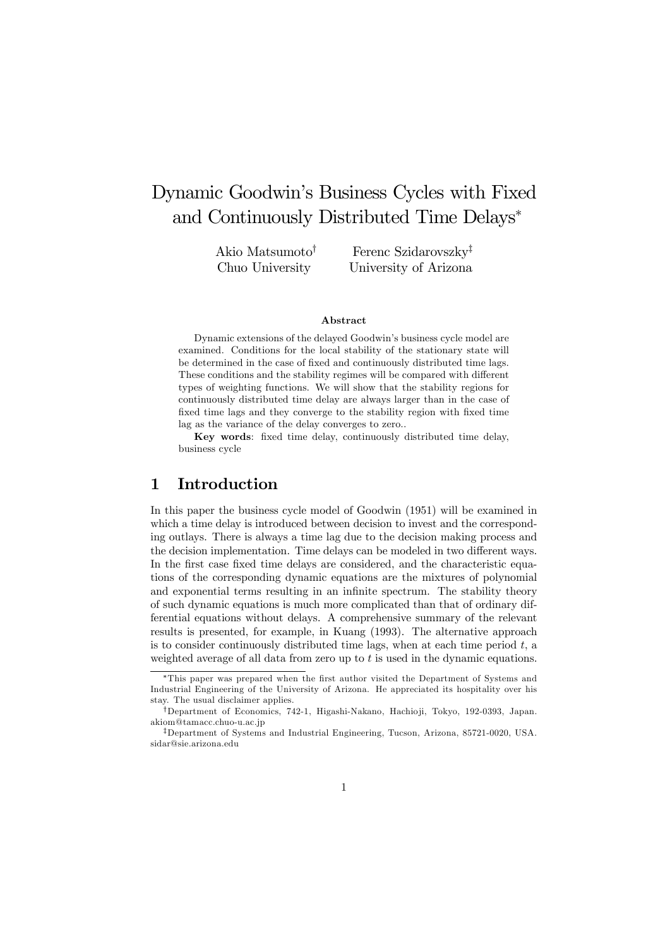# Dynamic Goodwin's Business Cycles with Fixed and Continuously Distributed Time Delays<sup>∗</sup>

Akio Matsumoto† Chuo University

Ferenc Szidarovszky‡ University of Arizona

#### Abstract

Dynamic extensions of the delayed Goodwin's business cycle model are examined. Conditions for the local stability of the stationary state will be determined in the case of fixed and continuously distributed time lags. These conditions and the stability regimes will be compared with different types of weighting functions. We will show that the stability regions for continuously distributed time delay are always larger than in the case of fixed time lags and they converge to the stability region with fixed time lag as the variance of the delay converges to zero..

Key words: fixed time delay, continuously distributed time delay, business cycle

### 1 Introduction

In this paper the business cycle model of Goodwin (1951) will be examined in which a time delay is introduced between decision to invest and the corresponding outlays. There is always a time lag due to the decision making process and the decision implementation. Time delays can be modeled in two different ways. In the first case fixed time delays are considered, and the characteristic equations of the corresponding dynamic equations are the mixtures of polynomial and exponential terms resulting in an infinite spectrum. The stability theory of such dynamic equations is much more complicated than that of ordinary differential equations without delays. A comprehensive summary of the relevant results is presented, for example, in Kuang (1993). The alternative approach is to consider continuously distributed time lags, when at each time period  $t$ , a weighted average of all data from zero up to  $t$  is used in the dynamic equations.

<sup>∗</sup>This paper was prepared when the first author visited the Department of Systems and Industrial Engineering of the University of Arizona. He appreciated its hospitality over his stay. The usual disclaimer applies.

<sup>†</sup>Department of Economics, 742-1, Higashi-Nakano, Hachio ji, Tokyo, 192-0393, Japan. akiom@tamacc.chuo-u.ac.jp

<sup>‡</sup>Department of Systems and Industrial Engineering, Tucson, Arizona, 85721-0020, USA. sidar@sie.arizona.edu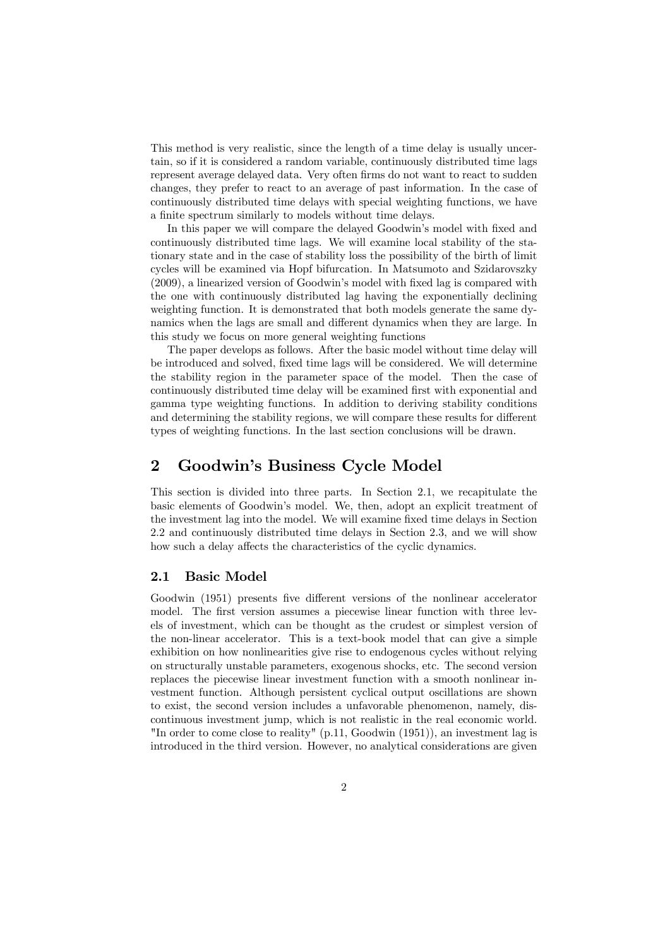This method is very realistic, since the length of a time delay is usually uncertain, so if it is considered a random variable, continuously distributed time lags represent average delayed data. Very often firms do not want to react to sudden changes, they prefer to react to an average of past information. In the case of continuously distributed time delays with special weighting functions, we have a finite spectrum similarly to models without time delays.

In this paper we will compare the delayed Goodwin's model with fixed and continuously distributed time lags. We will examine local stability of the stationary state and in the case of stability loss the possibility of the birth of limit cycles will be examined via Hopf bifurcation. In Matsumoto and Szidarovszky (2009), a linearized version of Goodwin's model with fixed lag is compared with the one with continuously distributed lag having the exponentially declining weighting function. It is demonstrated that both models generate the same dynamics when the lags are small and different dynamics when they are large. In this study we focus on more general weighting functions

The paper develops as follows. After the basic model without time delay will be introduced and solved, fixed time lags will be considered. We will determine the stability region in the parameter space of the model. Then the case of continuously distributed time delay will be examined first with exponential and gamma type weighting functions. In addition to deriving stability conditions and determining the stability regions, we will compare these results for different types of weighting functions. In the last section conclusions will be drawn.

### 2 Goodwin's Business Cycle Model

This section is divided into three parts. In Section 2.1, we recapitulate the basic elements of Goodwin's model. We, then, adopt an explicit treatment of the investment lag into the model. We will examine fixed time delays in Section 2.2 and continuously distributed time delays in Section 2.3, and we will show how such a delay affects the characteristics of the cyclic dynamics.

#### 2.1 Basic Model

Goodwin (1951) presents five different versions of the nonlinear accelerator model. The first version assumes a piecewise linear function with three levels of investment, which can be thought as the crudest or simplest version of the non-linear accelerator. This is a text-book model that can give a simple exhibition on how nonlinearities give rise to endogenous cycles without relying on structurally unstable parameters, exogenous shocks, etc. The second version replaces the piecewise linear investment function with a smooth nonlinear investment function. Although persistent cyclical output oscillations are shown to exist, the second version includes a unfavorable phenomenon, namely, discontinuous investment jump, which is not realistic in the real economic world. "In order to come close to reality" (p.11, Goodwin (1951)), an investment lag is introduced in the third version. However, no analytical considerations are given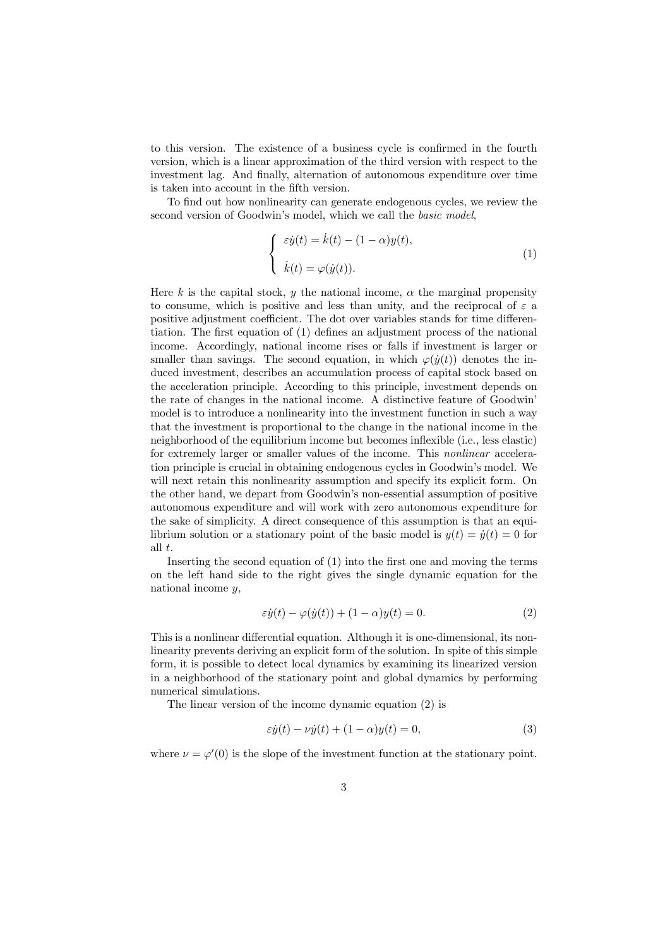to this version. The existence of a business cycle is confirmed in the fourth version, which is a linear approximation of the third version with respect to the investment lag. And finally, alternation of autonomous expenditure over time is taken into account in the fifth version.

To find out how nonlinearity can generate endogenous cycles, we review the second version of Goodwin's model, which we call the basic model,

$$
\begin{cases}\n\varepsilon \dot{y}(t) = \dot{k}(t) - (1 - \alpha)y(t), \\
\dot{k}(t) = \varphi(\dot{y}(t)).\n\end{cases} (1)
$$

Here k is the capital stock, y the national income,  $\alpha$  the marginal propensity to consume, which is positive and less than unity, and the reciprocal of  $\varepsilon$  a positive adjustment coefficient. The dot over variables stands for time differentiation. The first equation of (1) defines an adjustment process of the national income. Accordingly, national income rises or falls if investment is larger or smaller than savings. The second equation, in which  $\varphi(\dot{y}(t))$  denotes the induced investment, describes an accumulation process of capital stock based on the acceleration principle. According to this principle, investment depends on the rate of changes in the national income. A distinctive feature of Goodwin' model is to introduce a nonlinearity into the investment function in such a way that the investment is proportional to the change in the national income in the neighborhood of the equilibrium income but becomes inflexible (i.e., less elastic) for extremely larger or smaller values of the income. This nonlinear acceleration principle is crucial in obtaining endogenous cycles in Goodwin's model. We will next retain this nonlinearity assumption and specify its explicit form. On the other hand, we depart from Goodwin's non-essential assumption of positive autonomous expenditure and will work with zero autonomous expenditure for the sake of simplicity. A direct consequence of this assumption is that an equilibrium solution or a stationary point of the basic model is  $y(t) = \dot{y}(t) = 0$  for all t.

Inserting the second equation of (1) into the first one and moving the terms on the left hand side to the right gives the single dynamic equation for the national income  $y$ ,

$$
\varepsilon \dot{y}(t) - \varphi(\dot{y}(t)) + (1 - \alpha)y(t) = 0.
$$
\n(2)

This is a nonlinear differential equation. Although it is one-dimensional, its nonlinearity prevents deriving an explicit form of the solution. In spite of this simple form, it is possible to detect local dynamics by examining its linearized version in a neighborhood of the stationary point and global dynamics by performing numerical simulations.

The linear version of the income dynamic equation (2) is

$$
\varepsilon \dot{y}(t) - \nu \dot{y}(t) + (1 - \alpha)y(t) = 0,\tag{3}
$$

where  $\nu = \varphi'(0)$  is the slope of the investment function at the stationary point.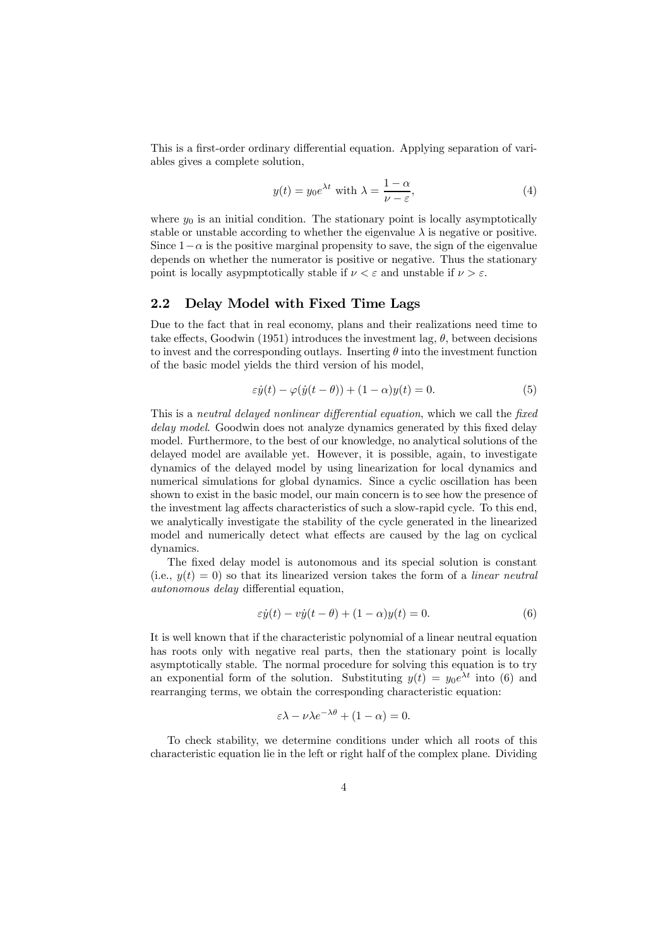This is a first-order ordinary differential equation. Applying separation of variables gives a complete solution,

$$
y(t) = y_0 e^{\lambda t} \text{ with } \lambda = \frac{1 - \alpha}{\nu - \varepsilon},\tag{4}
$$

where  $y_0$  is an initial condition. The stationary point is locally asymptotically stable or unstable according to whether the eigenvalue  $\lambda$  is negative or positive. Since  $1-\alpha$  is the positive marginal propensity to save, the sign of the eigenvalue depends on whether the numerator is positive or negative. Thus the stationary point is locally asypmptotically stable if  $\nu < \varepsilon$  and unstable if  $\nu > \varepsilon$ .

#### 2.2 Delay Model with Fixed Time Lags

Due to the fact that in real economy, plans and their realizations need time to take effects, Goodwin (1951) introduces the investment lag,  $\theta$ , between decisions to invest and the corresponding outlays. Inserting  $\theta$  into the investment function of the basic model yields the third version of his model,

$$
\varepsilon \dot{y}(t) - \varphi(\dot{y}(t-\theta)) + (1-\alpha)y(t) = 0.
$$
\n(5)

This is a neutral delayed nonlinear differential equation, which we call the fixed delay model. Goodwin does not analyze dynamics generated by this fixed delay model. Furthermore, to the best of our knowledge, no analytical solutions of the delayed model are available yet. However, it is possible, again, to investigate dynamics of the delayed model by using linearization for local dynamics and numerical simulations for global dynamics. Since a cyclic oscillation has been shown to exist in the basic model, our main concern is to see how the presence of the investment lag affects characteristics of such a slow-rapid cycle. To this end, we analytically investigate the stability of the cycle generated in the linearized model and numerically detect what effects are caused by the lag on cyclical dynamics.

The fixed delay model is autonomous and its special solution is constant (i.e.,  $y(t)=0$ ) so that its linearized version takes the form of a linear neutral autonomous delay differential equation,

$$
\varepsilon \dot{y}(t) - v\dot{y}(t - \theta) + (1 - \alpha)y(t) = 0.
$$
\n(6)

It is well known that if the characteristic polynomial of a linear neutral equation has roots only with negative real parts, then the stationary point is locally asymptotically stable. The normal procedure for solving this equation is to try an exponential form of the solution. Substituting  $y(t) = y_0 e^{\lambda t}$  into (6) and rearranging terms, we obtain the corresponding characteristic equation:

$$
\varepsilon \lambda - \nu \lambda e^{-\lambda \theta} + (1 - \alpha) = 0.
$$

To check stability, we determine conditions under which all roots of this characteristic equation lie in the left or right half of the complex plane. Dividing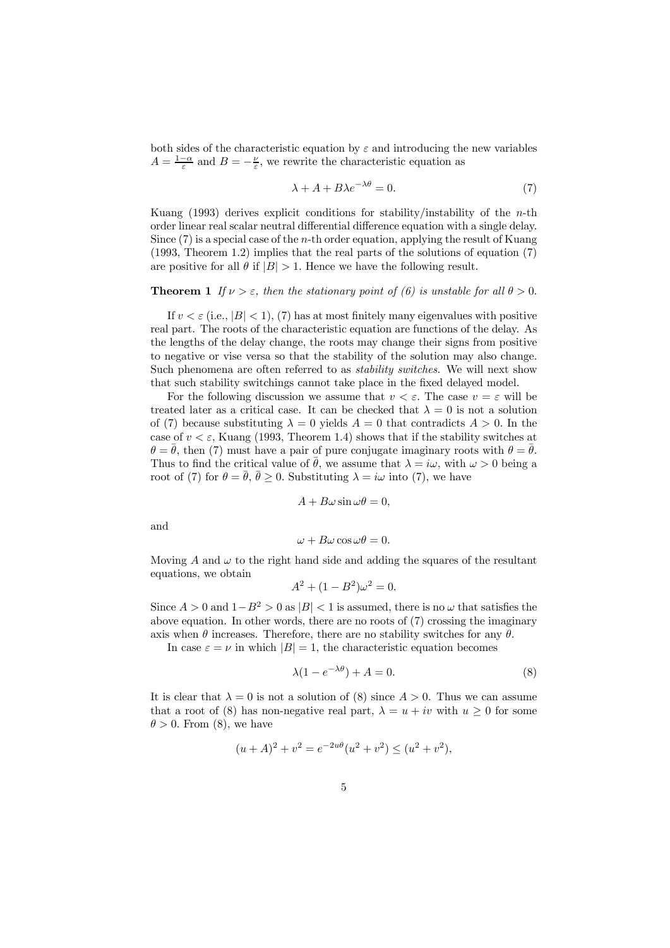both sides of the characteristic equation by  $\varepsilon$  and introducing the new variables  $A = \frac{1-\alpha}{\varepsilon}$  and  $B = -\frac{\nu}{\varepsilon}$ , we rewrite the characteristic equation as

$$
\lambda + A + B\lambda e^{-\lambda \theta} = 0. \tag{7}
$$

Kuang (1993) derives explicit conditions for stability/instability of the *n*-th order linear real scalar neutral differential difference equation with a single delay. Since (7) is a special case of the n-th order equation, applying the result of Kuang (1993, Theorem 1.2) implies that the real parts of the solutions of equation (7) are positive for all  $\theta$  if  $|B| > 1$ . Hence we have the following result.

#### **Theorem 1** If  $\nu > \varepsilon$ , then the stationary point of (6) is unstable for all  $\theta > 0$ .

If  $v < \varepsilon$  (i.e.,  $|B| < 1$ ), (7) has at most finitely many eigenvalues with positive real part. The roots of the characteristic equation are functions of the delay. As the lengths of the delay change, the roots may change their signs from positive to negative or vise versa so that the stability of the solution may also change. Such phenomena are often referred to as stability switches. We will next show that such stability switchings cannot take place in the fixed delayed model.

For the following discussion we assume that  $v < \varepsilon$ . The case  $v = \varepsilon$  will be treated later as a critical case. It can be checked that  $\lambda = 0$  is not a solution of (7) because substituting  $\lambda = 0$  yields  $A = 0$  that contradicts  $A > 0$ . In the case of  $v < \varepsilon$ , Kuang (1993, Theorem 1.4) shows that if the stability switches at  $\theta = \theta$ , then (7) must have a pair of pure conjugate imaginary roots with  $\theta = \theta$ . Thus to find the critical value of  $\theta$ , we assume that  $\lambda = i\omega$ , with  $\omega > 0$  being a root of (7) for  $\theta = \bar{\theta}$ ,  $\bar{\theta} \ge 0$ . Substituting  $\lambda = i\omega$  into (7), we have

$$
A + B\omega \sin \omega \theta = 0,
$$

and

 $\omega + B\omega \cos \omega \theta = 0.$ 

Moving A and  $\omega$  to the right hand side and adding the squares of the resultant equations, we obtain

$$
A^2 + (1 - B^2)\omega^2 = 0.
$$

Since  $A > 0$  and  $1-B^2 > 0$  as  $|B| < 1$  is assumed, there is no  $\omega$  that satisfies the above equation. In other words, there are no roots of (7) crossing the imaginary axis when  $\theta$  increases. Therefore, there are no stability switches for any  $\theta$ .

In case  $\varepsilon = \nu$  in which  $|B| = 1$ , the characteristic equation becomes

$$
\lambda(1 - e^{-\lambda \theta}) + A = 0. \tag{8}
$$

It is clear that  $\lambda = 0$  is not a solution of (8) since  $A > 0$ . Thus we can assume that a root of (8) has non-negative real part,  $\lambda = u + iv$  with  $u > 0$  for some  $\theta > 0$ . From (8), we have

$$
(u+A)^{2} + v^{2} = e^{-2u\theta} (u^{2} + v^{2}) \le (u^{2} + v^{2}),
$$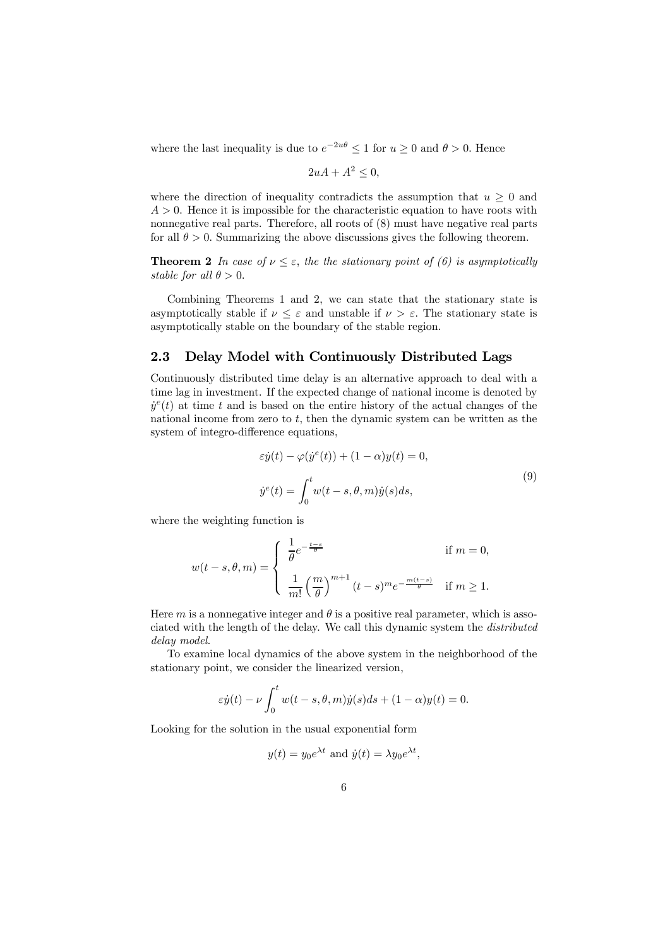where the last inequality is due to  $e^{-2u\theta} \leq 1$  for  $u \geq 0$  and  $\theta > 0$ . Hence

$$
2uA + A^2 \le 0,
$$

where the direction of inequality contradicts the assumption that  $u \geq 0$  and  $A > 0$ . Hence it is impossible for the characteristic equation to have roots with nonnegative real parts. Therefore, all roots of  $(8)$  must have negative real parts for all  $\theta > 0$ . Summarizing the above discussions gives the following theorem.

**Theorem 2** In case of  $\nu \leq \varepsilon$ , the the stationary point of (6) is asymptotically stable for all  $\theta > 0$ .

Combining Theorems 1 and 2, we can state that the stationary state is asymptotically stable if  $\nu \leq \varepsilon$  and unstable if  $\nu > \varepsilon$ . The stationary state is asymptotically stable on the boundary of the stable region.

#### 2.3 Delay Model with Continuously Distributed Lags

Continuously distributed time delay is an alternative approach to deal with a time lag in investment. If the expected change of national income is denoted by  $\dot{y}^e(t)$  at time t and is based on the entire history of the actual changes of the national income from zero to  $t$ , then the dynamic system can be written as the system of integro-difference equations,

$$
\varepsilon \dot{y}(t) - \varphi(\dot{y}^e(t)) + (1 - \alpha)y(t) = 0,
$$
  

$$
\dot{y}^e(t) = \int_0^t w(t - s, \theta, m)\dot{y}(s)ds,
$$
\n(9)

where the weighting function is

$$
w(t-s,\theta,m) = \begin{cases} \frac{1}{\theta}e^{-\frac{t-s}{\theta}} & \text{if } m=0, \\ \\ \frac{1}{m!} \left(\frac{m}{\theta}\right)^{m+1} (t-s)^m e^{-\frac{m(t-s)}{\theta}} & \text{if } m \ge 1. \end{cases}
$$

Here m is a nonnegative integer and  $\theta$  is a positive real parameter, which is associated with the length of the delay. We call this dynamic system the distributed delay model.

To examine local dynamics of the above system in the neighborhood of the stationary point, we consider the linearized version,

$$
\varepsilon \dot{y}(t) - \nu \int_0^t w(t - s, \theta, m)\dot{y}(s)ds + (1 - \alpha)y(t) = 0.
$$

Looking for the solution in the usual exponential form

$$
y(t) = y_0 e^{\lambda t}
$$
 and  $\dot{y}(t) = \lambda y_0 e^{\lambda t}$ ,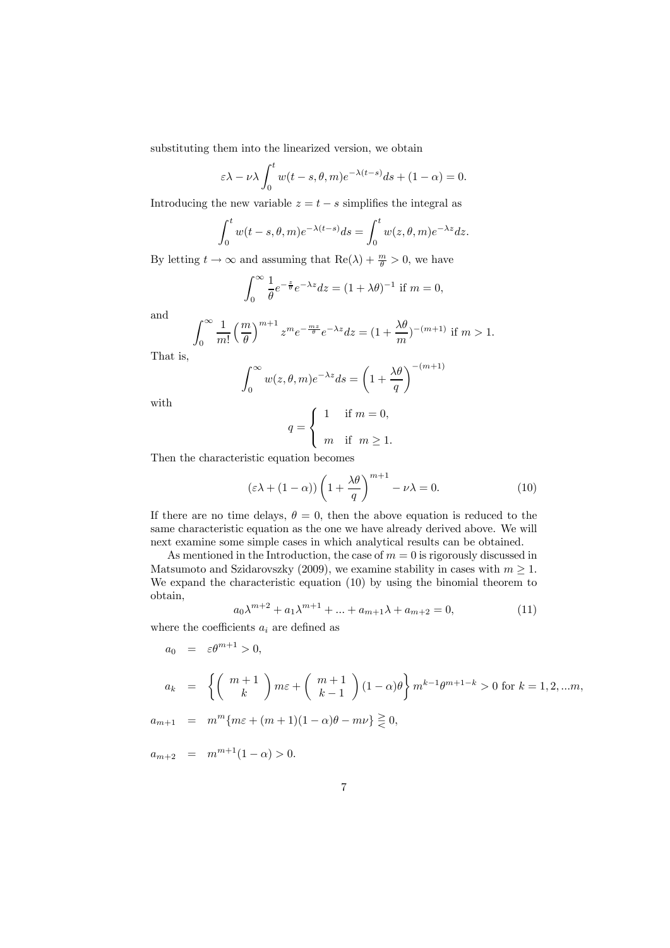substituting them into the linearized version, we obtain

$$
\varepsilon \lambda - \nu \lambda \int_0^t w(t - s, \theta, m) e^{-\lambda (t - s)} ds + (1 - \alpha) = 0.
$$

Introducing the new variable  $z = t - s$  simplifies the integral as

$$
\int_0^t w(t-s,\theta,m)e^{-\lambda(t-s)}ds = \int_0^t w(z,\theta,m)e^{-\lambda z}dz.
$$

By letting  $t \to \infty$  and assuming that  $\text{Re}(\lambda) + \frac{m}{\theta} > 0$ , we have

$$
\int_0^\infty \frac{1}{\theta} e^{-\frac{z}{\theta}} e^{-\lambda z} dz = (1 + \lambda \theta)^{-1}
$$
 if  $m = 0$ ,

and

$$
\int_0^\infty \frac{1}{m!} \left(\frac{m}{\theta}\right)^{m+1} z^m e^{-\frac{mz}{\theta}} e^{-\lambda z} dz = \left(1 + \frac{\lambda \theta}{m}\right)^{-(m+1)}
$$
 if  $m > 1$ .

That is,

$$
\int_0^\infty w(z,\theta,m)e^{-\lambda z}ds = \left(1 + \frac{\lambda\theta}{q}\right)^{-(m+1)}
$$

with

$$
q = \begin{cases} 1 & \text{if } m = 0, \\ m & \text{if } m \ge 1. \end{cases}
$$

Then the characteristic equation becomes

$$
(\varepsilon\lambda + (1 - \alpha))\left(1 + \frac{\lambda\theta}{q}\right)^{m+1} - \nu\lambda = 0.
$$
 (10)

If there are no time delays,  $\theta = 0$ , then the above equation is reduced to the same characteristic equation as the one we have already derived above. We will next examine some simple cases in which analytical results can be obtained.

As mentioned in the Introduction, the case of  $m = 0$  is rigorously discussed in Matsumoto and Szidarovszky (2009), we examine stability in cases with  $m \geq 1$ . We expand the characteristic equation (10) by using the binomial theorem to obtain,

$$
a_0 \lambda^{m+2} + a_1 \lambda^{m+1} + \dots + a_{m+1} \lambda + a_{m+2} = 0,
$$
\n(11)

where the coefficients  $a_i$  are defined as

$$
a_0 = \varepsilon \theta^{m+1} > 0,
$$
  
\n
$$
a_k = \left\{ \binom{m+1}{k} m\varepsilon + \binom{m+1}{k-1} (1-\alpha)\theta \right\} m^{k-1} \theta^{m+1-k} > 0 \text{ for } k = 1, 2, \dots m,
$$

 $a_{m+1} = m^m$ { $m\varepsilon + (m+1)(1-\alpha)\theta - m\nu$ }  $\geq 0$ ,

$$
\frac{1}{2} \int_{-\infty}^{\infty} \frac{1}{2} \left( \frac{1}{2} \left( \frac{1}{2} \left( \frac{1}{2} \left( \frac{1}{2} \left( \frac{1}{2} \right) - \frac{1}{2} \right) \right) - \frac{1}{2} \left( \frac{1}{2} \left( \frac{1}{2} \left( \frac{1}{2} \right) - \frac{1}{2} \right) \right) \right) \right) \, dx
$$

 $a_{m+2} = m^{m+1}(1-\alpha) > 0.$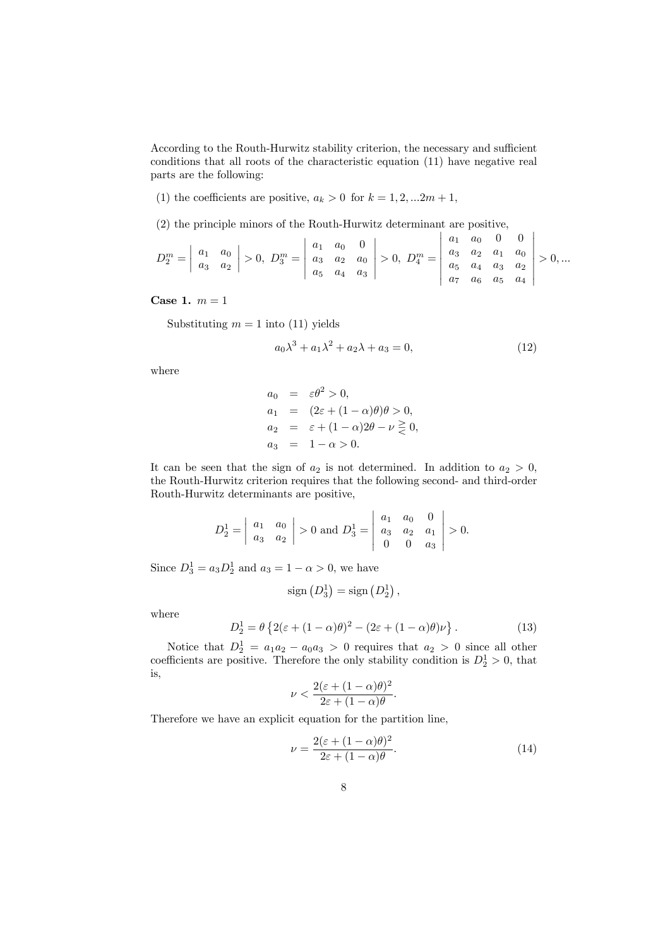According to the Routh-Hurwitz stability criterion, the necessary and sufficient conditions that all roots of the characteristic equation (11) have negative real parts are the following:

(1) the coefficients are positive,  $a_k > 0$  for  $k = 1, 2, ... 2m + 1$ ,

(2) the principle minors of the Routh-Hurwitz determinant are positive,

$$
D_2^m = \begin{vmatrix} a_1 & a_0 \\ a_3 & a_2 \end{vmatrix} > 0, \ D_3^m = \begin{vmatrix} a_1 & a_0 & 0 \\ a_3 & a_2 & a_0 \\ a_5 & a_4 & a_3 \end{vmatrix} > 0, \ D_4^m = \begin{vmatrix} a_1 & a_0 & 0 & 0 \\ a_3 & a_2 & a_1 & a_0 \\ a_5 & a_4 & a_3 & a_2 \\ a_7 & a_6 & a_5 & a_4 \end{vmatrix} > 0, \dots
$$

Case 1.  $m = 1$ 

Substituting  $m = 1$  into (11) yields

$$
a_0\lambda^3 + a_1\lambda^2 + a_2\lambda + a_3 = 0,\tag{12}
$$

where

$$
a_0 = \varepsilon \theta^2 > 0,
$$
  
\n
$$
a_1 = (2\varepsilon + (1 - \alpha)\theta)\theta > 0,
$$
  
\n
$$
a_2 = \varepsilon + (1 - \alpha)2\theta - \nu \ge 0,
$$
  
\n
$$
a_3 = 1 - \alpha > 0.
$$

It can be seen that the sign of  $a_2$  is not determined. In addition to  $a_2 > 0$ , the Routh-Hurwitz criterion requires that the following second- and third-order Routh-Hurwitz determinants are positive,

$$
D_2^1 = \begin{vmatrix} a_1 & a_0 \\ a_3 & a_2 \end{vmatrix} > 0 \text{ and } D_3^1 = \begin{vmatrix} a_1 & a_0 & 0 \\ a_3 & a_2 & a_1 \\ 0 & 0 & a_3 \end{vmatrix} > 0.
$$

Since  $D_3^1 = a_3 D_2^1$  and  $a_3 = 1 - \alpha > 0$ , we have

$$
sign\left(D_3^1\right) = sign\left(D_2^1\right),\,
$$

where

$$
D_2^1 = \theta \left\{ 2(\varepsilon + (1 - \alpha)\theta)^2 - (2\varepsilon + (1 - \alpha)\theta)\nu \right\}.
$$
 (13)

Notice that  $D_2^1 = a_1 a_2 - a_0 a_3 > 0$  requires that  $a_2 > 0$  since all other coefficients are positive. Therefore the only stability condition is  $D_2^1 > 0$ , that is,

$$
\nu < \frac{2(\varepsilon + (1 - \alpha)\theta)^2}{2\varepsilon + (1 - \alpha)\theta}.
$$

Therefore we have an explicit equation for the partition line,

$$
\nu = \frac{2(\varepsilon + (1 - \alpha)\theta)^2}{2\varepsilon + (1 - \alpha)\theta}.\tag{14}
$$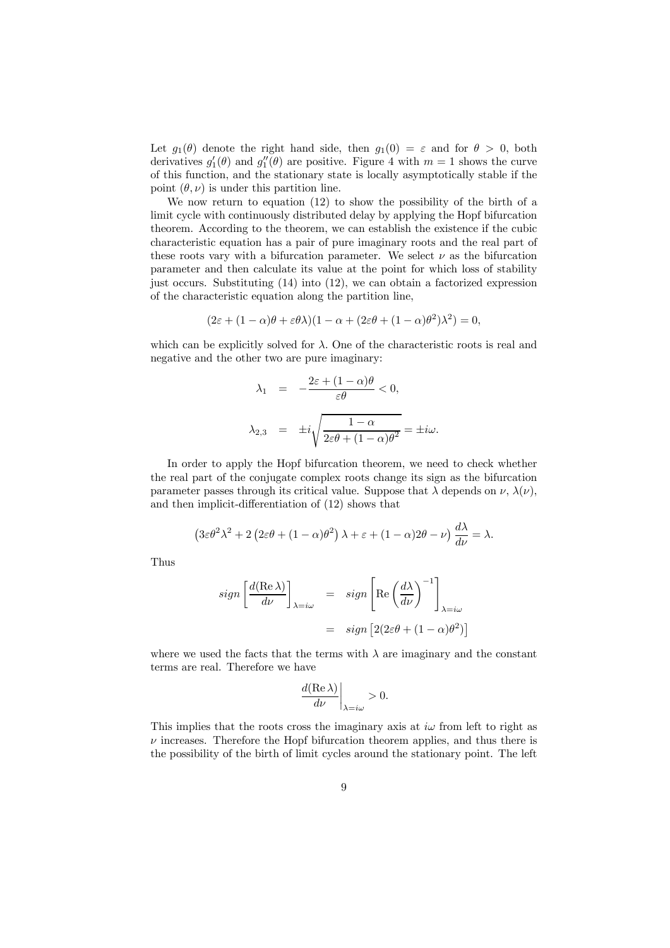Let  $g_1(\theta)$  denote the right hand side, then  $g_1(0) = \varepsilon$  and for  $\theta > 0$ , both derivatives  $g'_1(\theta)$  and  $g''_1(\theta)$  are positive. Figure 4 with  $m = 1$  shows the curve of this function, and the stationary state is locally asymptotically stable if the point  $(\theta, \nu)$  is under this partition line.

We now return to equation (12) to show the possibility of the birth of a limit cycle with continuously distributed delay by applying the Hopf bifurcation theorem. According to the theorem, we can establish the existence if the cubic characteristic equation has a pair of pure imaginary roots and the real part of these roots vary with a bifurcation parameter. We select  $\nu$  as the bifurcation parameter and then calculate its value at the point for which loss of stability just occurs. Substituting (14) into (12), we can obtain a factorized expression of the characteristic equation along the partition line,

$$
(2\varepsilon + (1 - \alpha)\theta + \varepsilon\theta\lambda)(1 - \alpha + (2\varepsilon\theta + (1 - \alpha)\theta^2)\lambda^2) = 0,
$$

which can be explicitly solved for  $\lambda$ . One of the characteristic roots is real and negative and the other two are pure imaginary:

$$
\lambda_1 = -\frac{2\varepsilon + (1 - \alpha)\theta}{\varepsilon\theta} < 0,
$$
\n
$$
\lambda_{2,3} = \pm i\sqrt{\frac{1 - \alpha}{2\varepsilon\theta + (1 - \alpha)\theta^2}} = \pm i\omega.
$$

In order to apply the Hopf bifurcation theorem, we need to check whether the real part of the conjugate complex roots change its sign as the bifurcation parameter passes through its critical value. Suppose that  $\lambda$  depends on  $\nu$ ,  $\lambda(\nu)$ , and then implicit-differentiation of (12) shows that

$$
(3\varepsilon\theta^2\lambda^2 + 2(2\varepsilon\theta + (1-\alpha)\theta^2)\lambda + \varepsilon + (1-\alpha)2\theta - \nu)\frac{d\lambda}{d\nu} = \lambda.
$$

Thus

$$
sign\left[\frac{d(\text{Re }\lambda)}{d\nu}\right]_{\lambda=i\omega} = sign\left[\text{Re}\left(\frac{d\lambda}{d\nu}\right)^{-1}\right]_{\lambda=i\omega}
$$

$$
= sign\left[2(2\varepsilon\theta + (1-\alpha)\theta^2)\right]
$$

where we used the facts that the terms with  $\lambda$  are imaginary and the constant terms are real. Therefore we have

$$
\frac{d(\mathrm{Re\,}\lambda)}{d\nu}\bigg|_{\lambda=i\omega}>0.
$$

This implies that the roots cross the imaginary axis at  $i\omega$  from left to right as  $\nu$  increases. Therefore the Hopf bifurcation theorem applies, and thus there is the possibility of the birth of limit cycles around the stationary point. The left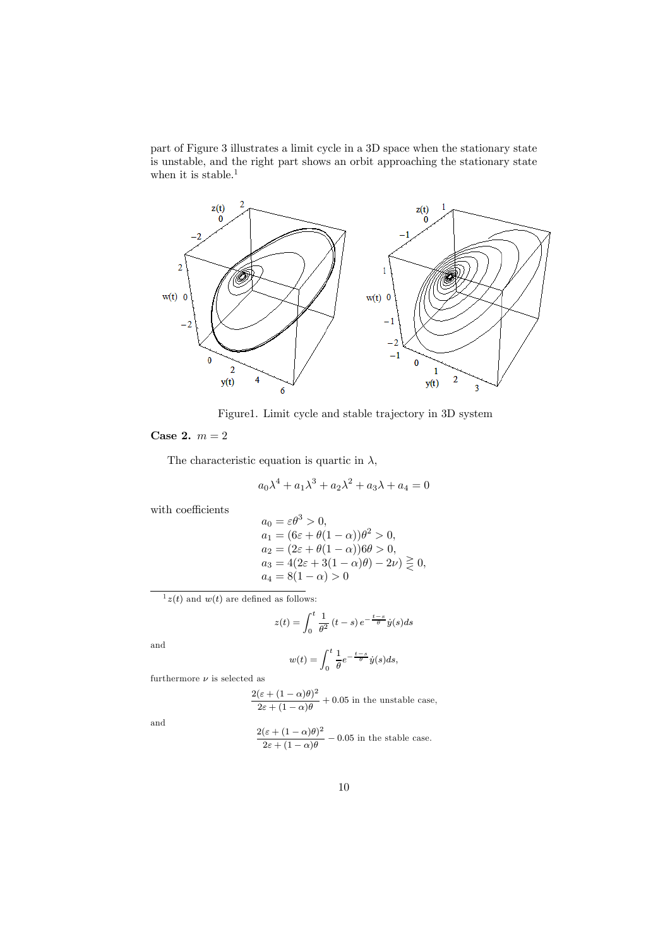part of Figure 3 illustrates a limit cycle in a 3D space when the stationary state is unstable, and the right part shows an orbit approaching the stationary state when it is stable.<sup>1</sup>



Figure1. Limit cycle and stable trajectory in 3D system

Case 2.  $m = 2$ 

The characteristic equation is quartic in  $\lambda$ ,

$$
a_0 \lambda^4 + a_1 \lambda^3 + a_2 \lambda^2 + a_3 \lambda + a_4 = 0
$$

with coefficients

$$
a_0 = \varepsilon \theta^3 > 0,
$$
  
\n
$$
a_1 = (6\varepsilon + \theta(1 - \alpha))\theta^2 > 0,
$$
  
\n
$$
a_2 = (2\varepsilon + \theta(1 - \alpha))6\theta > 0,
$$
  
\n
$$
a_3 = 4(2\varepsilon + 3(1 - \alpha)\theta) - 2\nu) \ge 0,
$$
  
\n
$$
a_4 = 8(1 - \alpha) > 0
$$

 $1_{z}(t)$  and  $w(t)$  are defined as follows:

$$
z(t) = \int_0^t \frac{1}{\theta^2} (t - s) e^{-\frac{t - s}{\theta}} \dot{y}(s) ds
$$

and

$$
w(t) = \int_0^t \frac{1}{\theta} e^{-\frac{t-s}{\theta}} \dot{y}(s) ds,
$$

furthermore  $\nu$  is selected as

$$
\frac{2(\varepsilon + (1 - \alpha)\theta)^2}{2\varepsilon + (1 - \alpha)\theta} + 0.05
$$
 in the unstable case,

and

$$
\frac{2(\varepsilon + (1 - \alpha)\theta)^2}{2\varepsilon + (1 - \alpha)\theta} - 0.05
$$
 in the stable case.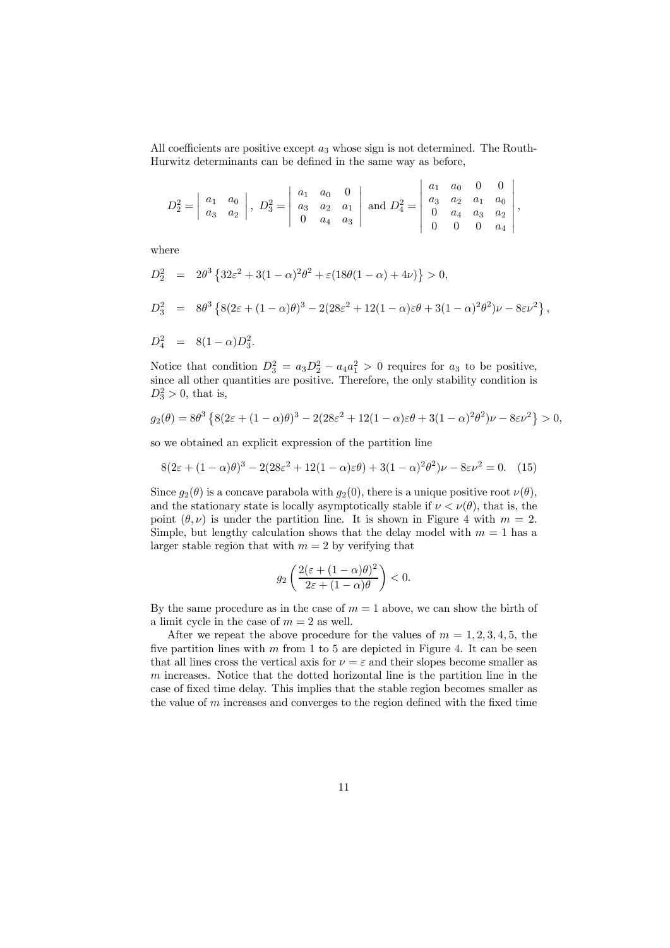All coefficients are positive except  $a_3$  whose sign is not determined. The Routh-Hurwitz determinants can be defined in the same way as before,

$$
D_2^2 = \begin{vmatrix} a_1 & a_0 \\ a_3 & a_2 \end{vmatrix}, D_3^2 = \begin{vmatrix} a_1 & a_0 & 0 \\ a_3 & a_2 & a_1 \\ 0 & a_4 & a_3 \end{vmatrix} \text{ and } D_4^2 = \begin{vmatrix} a_1 & a_0 & 0 & 0 \\ a_3 & a_2 & a_1 & a_0 \\ 0 & a_4 & a_3 & a_2 \\ 0 & 0 & 0 & a_4 \end{vmatrix},
$$

where

$$
D_2^2 = 2\theta^3 \{ 32\varepsilon^2 + 3(1 - \alpha)^2 \theta^2 + \varepsilon (18\theta(1 - \alpha) + 4\nu) \} > 0,
$$
  
\n
$$
D_3^2 = 8\theta^3 \{ 8(2\varepsilon + (1 - \alpha)\theta)^3 - 2(28\varepsilon^2 + 12(1 - \alpha)\varepsilon\theta + 3(1 - \alpha)^2 \theta^2) \nu - 8\varepsilon \nu^2 \},
$$

$$
D_4^2 = 8(1-\alpha)D_3^2.
$$

Notice that condition  $D_3^2 = a_3D_2^2 - a_4a_1^2 > 0$  requires for  $a_3$  to be positive, since all other quantities are positive. Therefore, the only stability condition is  $D_3^2 > 0$ , that is,

$$
g_2(\theta) = 8\theta^3 \left\{ 8(2\varepsilon + (1-\alpha)\theta)^3 - 2(28\varepsilon^2 + 12(1-\alpha)\varepsilon\theta + 3(1-\alpha)^2\theta^2)\nu - 8\varepsilon\nu^2 \right\} > 0,
$$

so we obtained an explicit expression of the partition line

$$
8(2\varepsilon + (1 - \alpha)\theta)^3 - 2(28\varepsilon^2 + 12(1 - \alpha)\varepsilon\theta) + 3(1 - \alpha)^2 \theta^2)\nu - 8\varepsilon\nu^2 = 0. \quad (15)
$$

Since  $g_2(\theta)$  is a concave parabola with  $g_2(0)$ , there is a unique positive root  $\nu(\theta)$ , and the stationary state is locally asymptotically stable if  $\nu < \nu(\theta)$ , that is, the point  $(\theta, \nu)$  is under the partition line. It is shown in Figure 4 with  $m = 2$ . Simple, but lengthy calculation shows that the delay model with  $m = 1$  has a larger stable region that with  $m = 2$  by verifying that

$$
g_2\left(\frac{2(\varepsilon+(1-\alpha)\theta)^2}{2\varepsilon+(1-\alpha)\theta}\right)<0.
$$

By the same procedure as in the case of  $m = 1$  above, we can show the birth of a limit cycle in the case of  $m = 2$  as well.

After we repeat the above procedure for the values of  $m = 1, 2, 3, 4, 5$ , the five partition lines with  $m$  from 1 to 5 are depicted in Figure 4. It can be seen that all lines cross the vertical axis for  $\nu = \varepsilon$  and their slopes become smaller as m increases. Notice that the dotted horizontal line is the partition line in the case of fixed time delay. This implies that the stable region becomes smaller as the value of  $m$  increases and converges to the region defined with the fixed time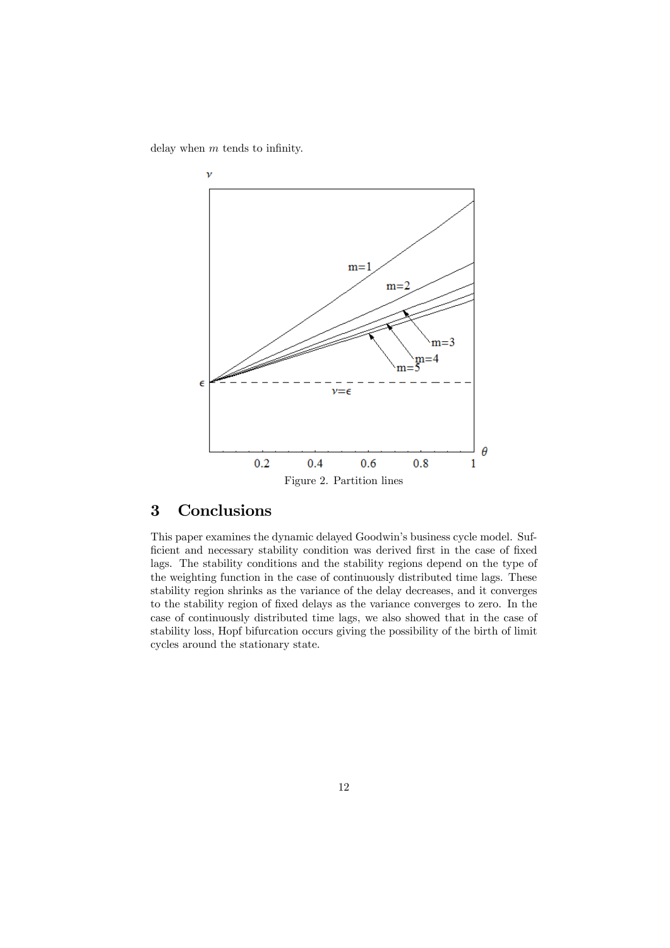delay when  $m$  tends to infinity.



## 3 Conclusions

This paper examines the dynamic delayed Goodwin's business cycle model. Sufficient and necessary stability condition was derived first in the case of fixed lags. The stability conditions and the stability regions depend on the type of the weighting function in the case of continuously distributed time lags. These stability region shrinks as the variance of the delay decreases, and it converges to the stability region of fixed delays as the variance converges to zero. In the case of continuously distributed time lags, we also showed that in the case of stability loss, Hopf bifurcation occurs giving the possibility of the birth of limit cycles around the stationary state.